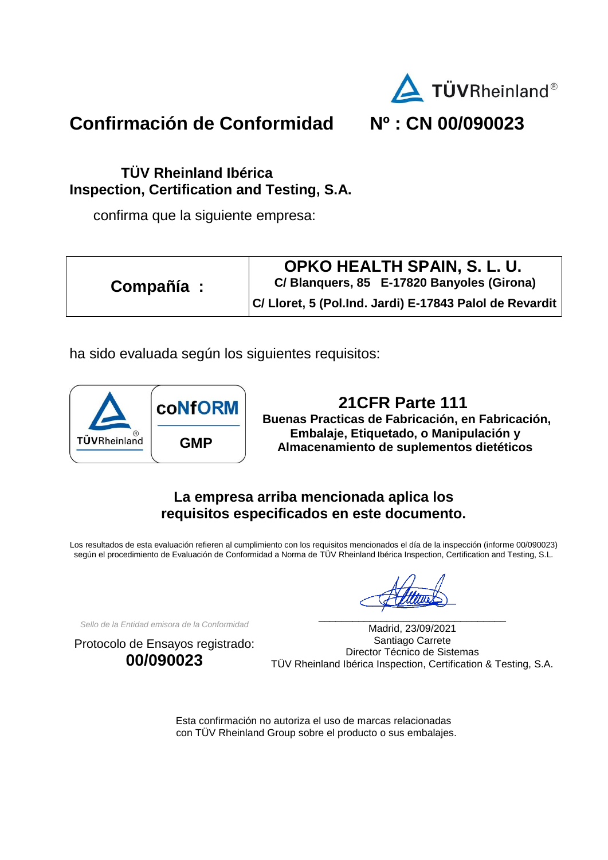

# **Confirmación de Conformidad Nº : CN 00/090023**

## **TÜV Rheinland Ibérica Inspection, Certification and Testing, S.A.**

confirma que la siguiente empresa:

|            | OPKO HEALTH SPAIN, S. L. U.                             |
|------------|---------------------------------------------------------|
| Compañía : | C/ Blanguers, 85 E-17820 Banyoles (Girona)              |
|            | C/ Lloret, 5 (Pol.Ind. Jardi) E-17843 Palol de Revardit |

ha sido evaluada según los siguientes requisitos:



# **21CFR Parte 111 Buenas Practicas de Fabricación, en Fabricación,**

**Embalaje, Etiquetado, o Manipulación y Almacenamiento de suplementos dietéticos**

**La empresa arriba mencionada aplica los requisitos especificados en este documento.**

Los resultados de esta evaluación refieren al cumplimiento con los requisitos mencionados el día de la inspección (informe 00/090023) según el procedimiento de Evaluación de Conformidad a Norma de TÜV Rheinland Ibérica Inspection, Certification and Testing, S.L.

*Sello de la Entidad emisora de la Conformidad*

Protocolo de Ensayos registrado: **00/090023**

Madrid, 23/09/2021 Santiago Carrete Director Técnico de Sistemas TÜV Rheinland Ibérica Inspection, Certification & Testing, S.A.

\_\_\_\_\_\_\_\_\_\_\_\_\_\_\_\_\_\_\_\_\_\_\_\_\_\_\_\_\_\_\_\_\_

Esta confirmación no autoriza el uso de marcas relacionadas con TÜV Rheinland Group sobre el producto o sus embalajes.